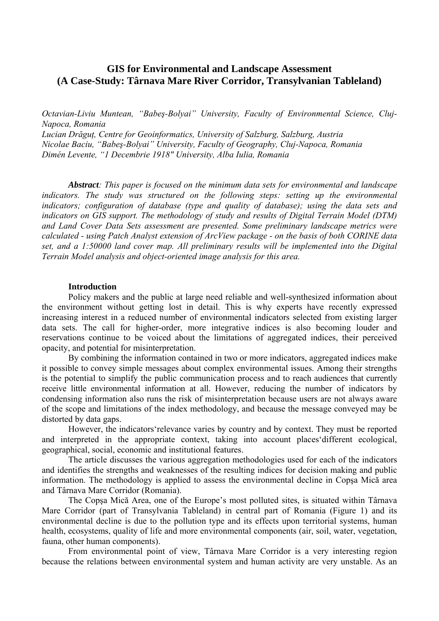# **GIS for Environmental and Landscape Assessment (A Case-Study: Târnava Mare River Corridor, Transylvanian Tableland)**

*Octavian-Liviu Muntean, "Babeş-Bolyai" University, Faculty of Environmental Science, Cluj-Napoca, Romania* 

*Lucian Drăguţ, Centre for Geoinformatics, University of Salzburg, Salzburg, Austria Nicolae Baciu, "Babeş-Bolyai" University, Faculty of Geography, Cluj-Napoca, Romania Dimén Levente, "1 Decembrie 1918" University, Alba Iulia, Romania* 

*Abstract: This paper is focused on the minimum data sets for environmental and landscape indicators. The study was structured on the following steps: setting up the environmental indicators; configuration of database (type and quality of database); using the data sets and indicators on GIS support. The methodology of study and results of Digital Terrain Model (DTM) and Land Cover Data Sets assessment are presented. Some preliminary landscape metrics were calculated - using Patch Analyst extension of ArcView package - on the basis of both CORINE data set, and a 1:50000 land cover map. All preliminary results will be implemented into the Digital Terrain Model analysis and object-oriented image analysis for this area.* 

## **Introduction**

Policy makers and the public at large need reliable and well-synthesized information about the environment without getting lost in detail. This is why experts have recently expressed increasing interest in a reduced number of environmental indicators selected from existing larger data sets. The call for higher-order, more integrative indices is also becoming louder and reservations continue to be voiced about the limitations of aggregated indices, their perceived opacity, and potential for misinterpretation.

By combining the information contained in two or more indicators, aggregated indices make it possible to convey simple messages about complex environmental issues. Among their strengths is the potential to simplify the public communication process and to reach audiences that currently receive little environmental information at all. However, reducing the number of indicators by condensing information also runs the risk of misinterpretation because users are not always aware of the scope and limitations of the index methodology, and because the message conveyed may be distorted by data gaps.

However, the indicators'relevance varies by country and by context. They must be reported and interpreted in the appropriate context, taking into account places'different ecological, geographical, social, economic and institutional features.

The article discusses the various aggregation methodologies used for each of the indicators and identifies the strengths and weaknesses of the resulting indices for decision making and public information. The methodology is applied to assess the environmental decline in Copşa Mică area and Târnava Mare Corridor (Romania).

The Copşa Mică Area, one of the Europe's most polluted sites, is situated within Târnava Mare Corridor (part of Transylvania Tableland) in central part of Romania (Figure 1) and its environmental decline is due to the pollution type and its effects upon territorial systems, human health, ecosystems, quality of life and more environmental components (air, soil, water, vegetation, fauna, other human components).

From environmental point of view, Târnava Mare Corridor is a very interesting region because the relations between environmental system and human activity are very unstable. As an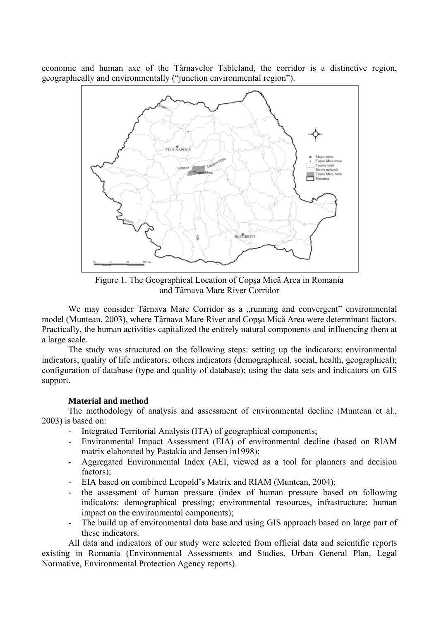economic and human axe of the Târnavelor Tableland, the corridor is a distinctive region, geographically and environmentally ("junction environmental region").



Figure 1. The Geographical Location of Copşa Mică Area in Romania and Târnava Mare River Corridor

We may consider Târnava Mare Corridor as a "running and convergent" environmental model (Muntean, 2003), where Târnava Mare River and Copşa Mică Area were determinant factors. Practically, the human activities capitalized the entirely natural components and influencing them at a large scale.

 The study was structured on the following steps: setting up the indicators: environmental indicators; quality of life indicators; others indicators (demographical, social, health, geographical); configuration of database (type and quality of database); using the data sets and indicators on GIS support.

# **Material and method**

The methodology of analysis and assessment of environmental decline (Muntean et al., 2003) is based on:

- Integrated Territorial Analysis (ITA) of geographical components;
- Environmental Impact Assessment (EIA) of environmental decline (based on RIAM matrix elaborated by Pastakia and Jensen in1998);
- Aggregated Environmental Index (AEI, viewed as a tool for planners and decision factors);
- EIA based on combined Leopold's Matrix and RIAM (Muntean, 2004);
- the assessment of human pressure (index of human pressure based on following indicators: demographical pressing; environmental resources, infrastructure; human impact on the environmental components);
- The build up of environmental data base and using GIS approach based on large part of these indicators.

All data and indicators of our study were selected from official data and scientific reports existing in Romania (Environmental Assessments and Studies, Urban General Plan, Legal Normative, Environmental Protection Agency reports).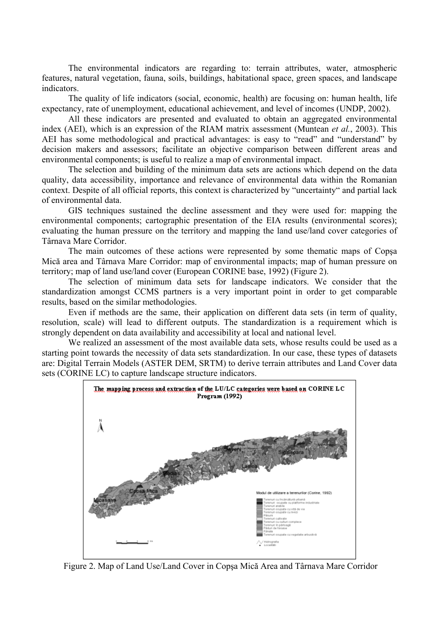The environmental indicators are regarding to: terrain attributes, water, atmospheric features, natural vegetation, fauna, soils, buildings, habitational space, green spaces, and landscape indicators.

The quality of life indicators (social, economic, health) are focusing on: human health, life expectancy, rate of unemployment, educational achievement, and level of incomes (UNDP, 2002).

All these indicators are presented and evaluated to obtain an aggregated environmental index (AEI), which is an expression of the RIAM matrix assessment (Muntean *et al.*, 2003). This AEI has some methodological and practical advantages: is easy to "read" and "understand" by decision makers and assessors; facilitate an objective comparison between different areas and environmental components; is useful to realize a map of environmental impact.

The selection and building of the minimum data sets are actions which depend on the data quality, data accessibility, importance and relevance of environmental data within the Romanian context. Despite of all official reports, this context is characterized by "uncertainty" and partial lack of environmental data.

GIS techniques sustained the decline assessment and they were used for: mapping the environmental components; cartographic presentation of the EIA results (environmental scores); evaluating the human pressure on the territory and mapping the land use/land cover categories of Târnava Mare Corridor.

The main outcomes of these actions were represented by some thematic maps of Copşa Mică area and Târnava Mare Corridor: map of environmental impacts; map of human pressure on territory; map of land use/land cover (European CORINE base, 1992) (Figure 2).

The selection of minimum data sets for landscape indicators. We consider that the standardization amongst CCMS partners is a very important point in order to get comparable results, based on the similar methodologies.

Even if methods are the same, their application on different data sets (in term of quality, resolution, scale) will lead to different outputs. The standardization is a requirement which is strongly dependent on data availability and accessibility at local and national level.

We realized an assessment of the most available data sets, whose results could be used as a starting point towards the necessity of data sets standardization. In our case, these types of datasets are: Digital Terrain Models (ASTER DEM, SRTM) to derive terrain attributes and Land Cover data sets (CORINE LC) to capture landscape structure indicators.



Figure 2. Map of Land Use/Land Cover in Copşa Mică Area and Târnava Mare Corridor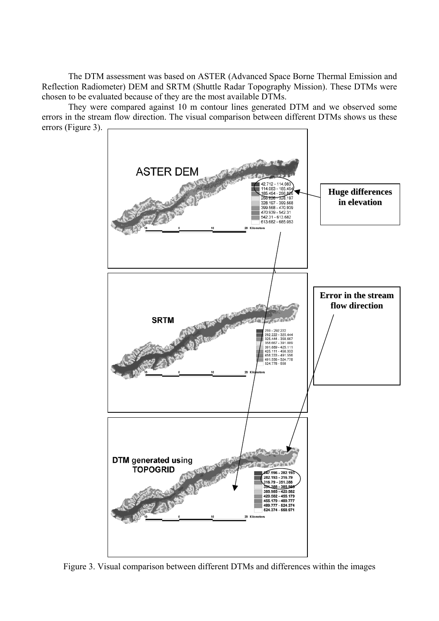The DTM assessment was based on ASTER (Advanced Space Borne Thermal Emission and Reflection Radiometer) DEM and SRTM (Shuttle Radar Topography Mission). These DTMs were chosen to be evaluated because of they are the most available DTMs.

They were compared against 10 m contour lines generated DTM and we observed some errors in the stream flow direction. The visual comparison between different DTMs shows us these errors (Figure 3).



Figure 3. Visual comparison between different DTMs and differences within the images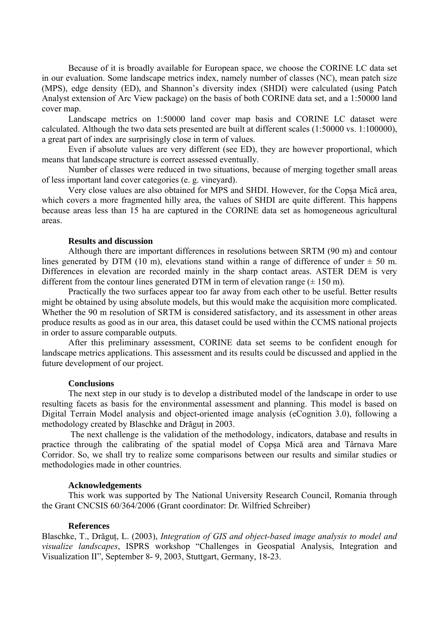Because of it is broadly available for European space, we choose the CORINE LC data set in our evaluation. Some landscape metrics index, namely number of classes (NC), mean patch size (MPS), edge density (ED), and Shannon's diversity index (SHDI) were calculated (using Patch Analyst extension of Arc View package) on the basis of both CORINE data set, and a 1:50000 land cover map.

Landscape metrics on 1:50000 land cover map basis and CORINE LC dataset were calculated. Although the two data sets presented are built at different scales (1:50000 vs. 1:100000), a great part of index are surprisingly close in term of values.

Even if absolute values are very different (see ED), they are however proportional, which means that landscape structure is correct assessed eventually.

Number of classes were reduced in two situations, because of merging together small areas of less important land cover categories (e. g. vineyard).

Very close values are also obtained for MPS and SHDI. However, for the Copşa Mică area, which covers a more fragmented hilly area, the values of SHDI are quite different. This happens because areas less than 15 ha are captured in the CORINE data set as homogeneous agricultural areas.

## **Results and discussion**

Although there are important differences in resolutions between SRTM (90 m) and contour lines generated by DTM (10 m), elevations stand within a range of difference of under  $\pm$  50 m. Differences in elevation are recorded mainly in the sharp contact areas. ASTER DEM is very different from the contour lines generated DTM in term of elevation range  $(\pm 150 \text{ m})$ .

Practically the two surfaces appear too far away from each other to be useful. Better results might be obtained by using absolute models, but this would make the acquisition more complicated. Whether the 90 m resolution of SRTM is considered satisfactory, and its assessment in other areas produce results as good as in our area, this dataset could be used within the CCMS national projects in order to assure comparable outputs.

After this preliminary assessment, CORINE data set seems to be confident enough for landscape metrics applications. This assessment and its results could be discussed and applied in the future development of our project.

#### **Conclusions**

 The next step in our study is to develop a distributed model of the landscape in order to use resulting facets as basis for the environmental assessment and planning. This model is based on Digital Terrain Model analysis and object-oriented image analysis (eCognition 3.0), following a methodology created by Blaschke and Drăgut in 2003.

 The next challenge is the validation of the methodology, indicators, database and results in practice through the calibrating of the spatial model of Copşa Mică area and Târnava Mare Corridor. So, we shall try to realize some comparisons between our results and similar studies or methodologies made in other countries.

## **Acknowledgements**

This work was supported by The National University Research Council, Romania through the Grant CNCSIS 60/364/2006 (Grant coordinator: Dr. Wilfried Schreiber)

#### **References**

Blaschke, T., Drăguţ, L. (2003), *Integration of GIS and object-based image analysis to model and visualize landscapes*, ISPRS workshop "Challenges in Geospatial Analysis, Integration and Visualization II", September 8- 9, 2003, Stuttgart, Germany, 18-23.